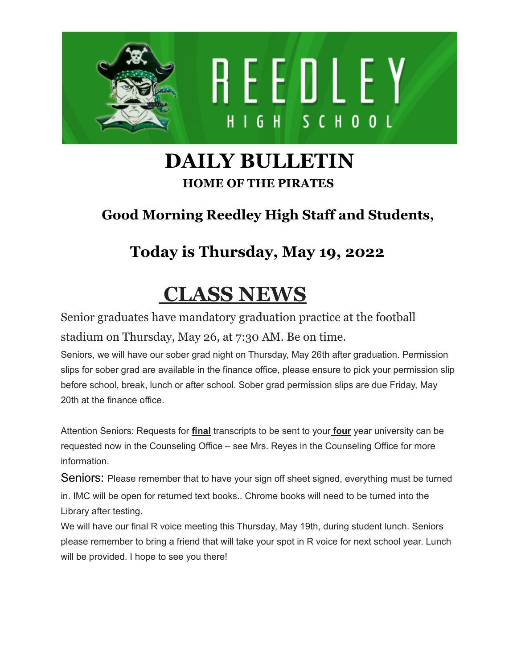

### **DAILY BULLETIN HOME OF THE PIRATES**

#### **Good Morning Reedley High Staff and Students,**

#### **Today is Thursday, May 19, 2022**

## **CLASS NEWS**

Senior graduates have mandatory graduation practice at the football stadium on Thursday, May 26, at 7:30 AM. Be on time.

Seniors, we will have our sober grad night on Thursday, May 26th after graduation. Permission slips for sober grad are available in the finance office, please ensure to pick your permission slip before school, break, lunch or after school. Sober grad permission slips are due Friday, May 20th at the finance office.

Attention Seniors: Requests for **final** transcripts to be sent to your **four** year university can be requested now in the Counseling Office – see Mrs. Reyes in the Counseling Office for more information.

Seniors: Please remember that to have your sign off sheet signed, everything must be turned in. IMC will be open for returned text books.. Chrome books will need to be turned into the Library after testing.

We will have our final R voice meeting this Thursday, May 19th, during student lunch. Seniors please remember to bring a friend that will take your spot in R voice for next school year. Lunch will be provided. I hope to see you there!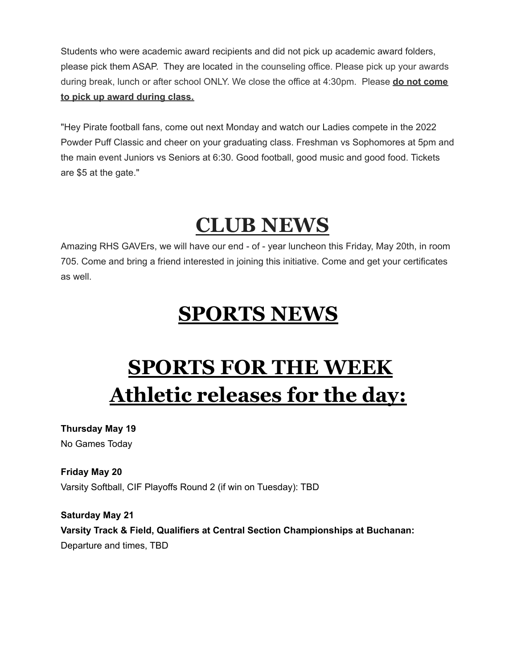Students who were academic award recipients and did not pick up academic award folders, please pick them ASAP. They are located in the counseling office. Please pick up your awards during break, lunch or after school ONLY. We close the office at 4:30pm. Please **do not come to pick up award during class.**

"Hey Pirate football fans, come out next Monday and watch our Ladies compete in the 2022 Powder Puff Classic and cheer on your graduating class. Freshman vs Sophomores at 5pm and the main event Juniors vs Seniors at 6:30. Good football, good music and good food. Tickets are \$5 at the gate."

### **CLUB NEWS**

Amazing RHS GAVErs, we will have our end - of - year luncheon this Friday, May 20th, in room 705. Come and bring a friend interested in joining this initiative. Come and get your certificates as well.

### **SPORTS NEWS**

# **SPORTS FOR THE WEEK Athletic releases for the day:**

**Thursday May 19** No Games Today

**Friday May 20** Varsity Softball, CIF Playoffs Round 2 (if win on Tuesday): TBD

**Saturday May 21 Varsity Track & Field, Qualifiers at Central Section Championships at Buchanan:** Departure and times, TBD